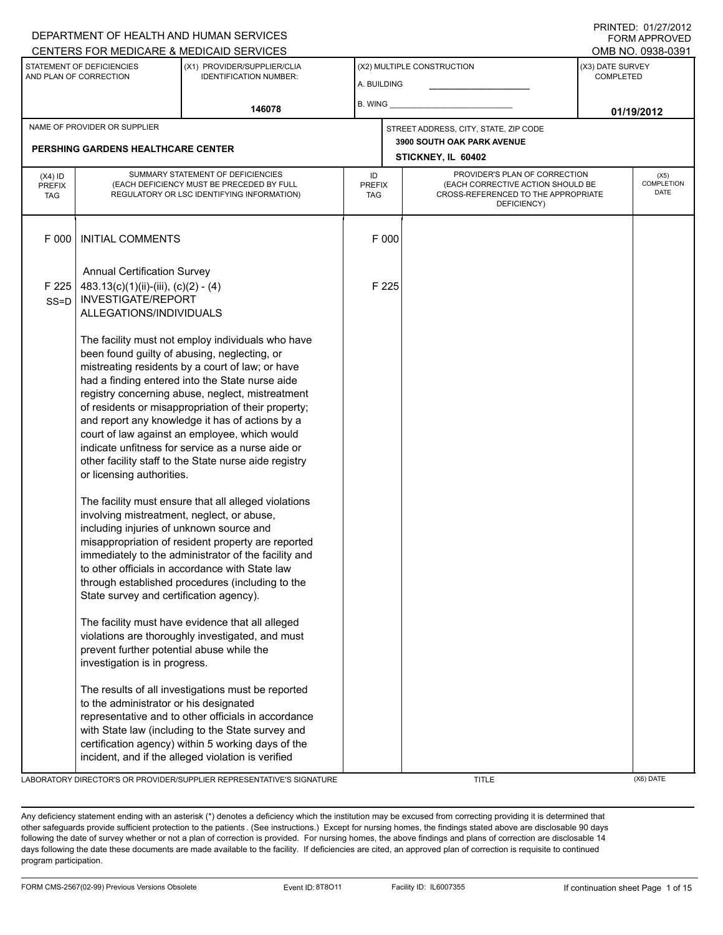## A. BUILDING (X1) PROVIDER/SUPPLIER/CLIA IDENTIFICATION NUMBER: STATEMENT OF DEFICIENCIES AND PLAN OF CORRECTION (X3) DATE SURVEY COMPLETED FORM APPROVED (X2) MULTIPLE CONSTRUCTION B. WING DEPARTMENT OF HEALTH AND HUMAN SERVICES CENTERS FOR MEDICARE & MEDICAID SERVICES **And CENTERS FOR MEDICAL ACCESS** OMB NO. 0938-0391 **146078 01/19/2012 STICKNEY, IL 60402** NAME OF PROVIDER OR SUPPLIER STREET ADDRESS, CITY, STATE, ZIP CODE **PERSHING GARDENS HEALTHCARE CENTER 3900 SOUTH OAK PARK AVENUE** PROVIDER'S PLAN OF CORRECTION (EACH CORRECTIVE ACTION SHOULD BE CROSS-REFERENCED TO THE APPROPRIATE DEFICIENCY) (X5) **COMPLETION** DATE ID PREFIX TAG (X4) ID PREFIX TAG SUMMARY STATEMENT OF DEFICIENCIES (EACH DEFICIENCY MUST BE PRECEDED BY FULL REGULATORY OR LSC IDENTIFYING INFORMATION) F 000 INITIAL COMMENTS F 000 Annual Certification Survey F 225 SS=D 483.13(c)(1)(ii)-(iii), (c)(2) - (4) INVESTIGATE/REPORT ALLEGATIONS/INDIVIDUALS The facility must not employ individuals who have been found guilty of abusing, neglecting, or mistreating residents by a court of law; or have had a finding entered into the State nurse aide registry concerning abuse, neglect, mistreatment of residents or misappropriation of their property; and report any knowledge it has of actions by a court of law against an employee, which would indicate unfitness for service as a nurse aide or other facility staff to the State nurse aide registry or licensing authorities. The facility must ensure that all alleged violations involving mistreatment, neglect, or abuse, including injuries of unknown source and misappropriation of resident property are reported immediately to the administrator of the facility and to other officials in accordance with State law through established procedures (including to the State survey and certification agency). The facility must have evidence that all alleged violations are thoroughly investigated, and must prevent further potential abuse while the investigation is in progress. The results of all investigations must be reported to the administrator or his designated representative and to other officials in accordance with State law (including to the State survey and certification agency) within 5 working days of the incident, and if the alleged violation is verified F 225

LABORATORY DIRECTOR'S OR PROVIDER/SUPPLIER REPRESENTATIVE'S SIGNATURE TITLE (X6) DATE

PRINTED: 01/27/2012

Any deficiency statement ending with an asterisk (\*) denotes a deficiency which the institution may be excused from correcting providing it is determined that other safeguards provide sufficient protection to the patients . (See instructions.) Except for nursing homes, the findings stated above are disclosable 90 days following the date of survey whether or not a plan of correction is provided. For nursing homes, the above findings and plans of correction are disclosable 14 days following the date these documents are made available to the facility. If deficiencies are cited, an approved plan of correction is requisite to continued program participation.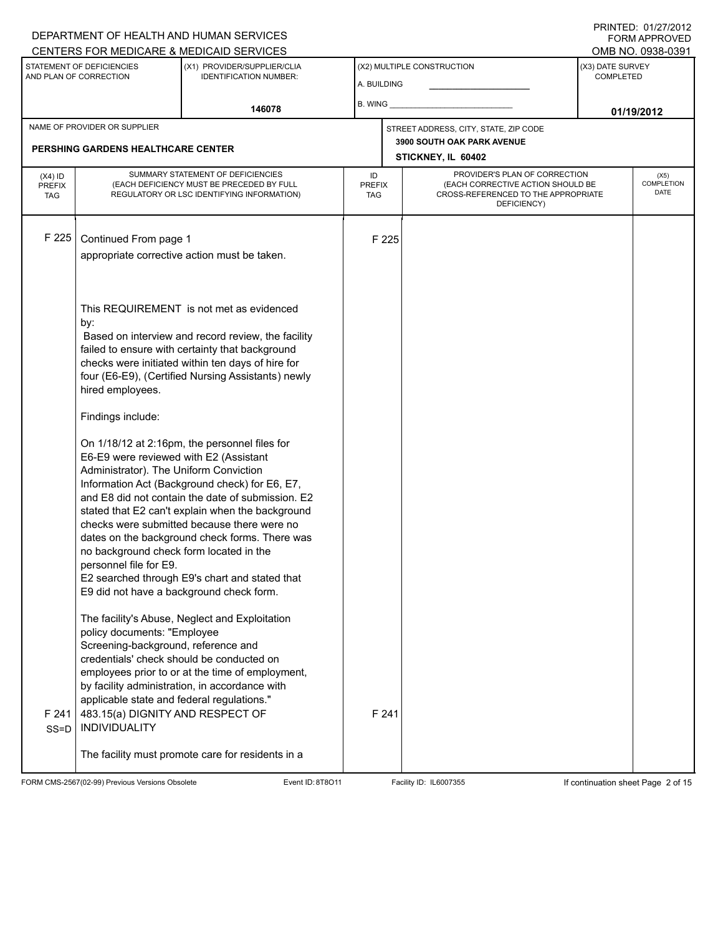# A. BUILDING (X1) PROVIDER/SUPPLIER/CLIA IDENTIFICATION NUMBER: STATEMENT OF DEFICIENCIES AND PLAN OF CORRECTION (X3) DATE SURVEY COMPLETED FORM APPROVED (X2) MULTIPLE CONSTRUCTION B. WING CENTERS FOR MEDICARE & MEDICAID SERVICES OMB NO. 0938-0391 **146078 01/19/2012 STICKNEY, IL 60402** NAME OF PROVIDER OR SUPPLIER STREET ADDRESS, CITY, STATE, ZIP CODE **PERSHING GARDENS HEALTHCARE CENTER 3900 SOUTH OAK PARK AVENUE** PROVIDER'S PLAN OF CORRECTION (EACH CORRECTIVE ACTION SHOULD BE CROSS-REFERENCED TO THE APPROPRIATE DEFICIENCY) (X5) **COMPLETION** DATE ID PREFIX TAG (X4) ID PREFIX TAG SUMMARY STATEMENT OF DEFICIENCIES (EACH DEFICIENCY MUST BE PRECEDED BY FULL REGULATORY OR LSC IDENTIFYING INFORMATION) F 225 Continued From page 1 F 225 appropriate corrective action must be taken. This REQUIREMENT is not met as evidenced by: Based on interview and record review, the facility failed to ensure with certainty that background checks were initiated within ten days of hire for four (E6-E9), (Certified Nursing Assistants) newly hired employees. Findings include: On 1/18/12 at 2:16pm, the personnel files for E6-E9 were reviewed with E2 (Assistant Administrator). The Uniform Conviction Information Act (Background check) for E6, E7, and E8 did not contain the date of submission. E2 stated that E2 can't explain when the background checks were submitted because there were no dates on the background check forms. There was no background check form located in the personnel file for E9. E2 searched through E9's chart and stated that E9 did not have a background check form. The facility's Abuse, Neglect and Exploitation policy documents: "Employee Screening-background, reference and credentials' check should be conducted on employees prior to or at the time of employment, by facility administration, in accordance with applicable state and federal regulations." F 241 SS=D 483.15(a) DIGNITY AND RESPECT OF INDIVIDUALITY The facility must promote care for residents in a F 241

FORM CMS-2567(02-99) Previous Versions Obsolete Event ID: 8T8O11 Facility ID: IL6007355 If continuation sheet Page 2 of 15

DEPARTMENT OF HEALTH AND HUMAN SERVICES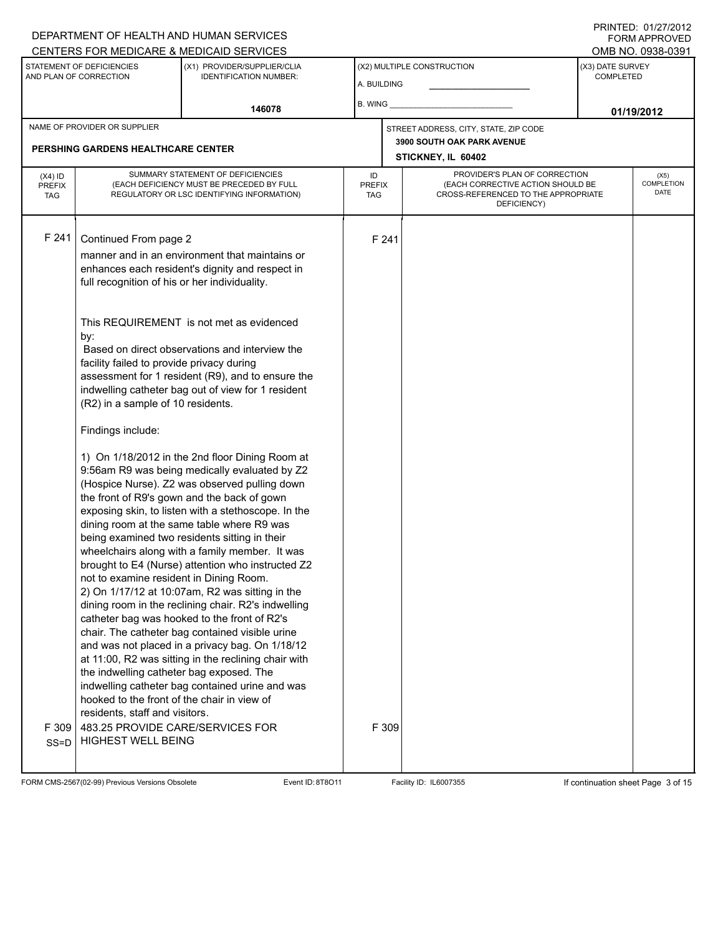## A. BUILDING (X1) PROVIDER/SUPPLIER/CLIA IDENTIFICATION NUMBER: STATEMENT OF DEFICIENCIES AND PLAN OF CORRECTION (X3) DATE SURVEY COMPLETED FORM APPROVED (X2) MULTIPLE CONSTRUCTION B. WING DEPARTMENT OF HEALTH AND HUMAN SERVICES CENTERS FOR MEDICARE & MEDICAID SERVICES **And CENTERS FOR MEDICAL ACCESS** OMB NO. 0938-0391 **146078 01/19/2012 STICKNEY, IL 60402** NAME OF PROVIDER OR SUPPLIER STREET ADDRESS, CITY, STATE, ZIP CODE **PERSHING GARDENS HEALTHCARE CENTER 3900 SOUTH OAK PARK AVENUE** PROVIDER'S PLAN OF CORRECTION (EACH CORRECTIVE ACTION SHOULD BE CROSS-REFERENCED TO THE APPROPRIATE DEFICIENCY) (X5) **COMPLETION** DATE ID PREFIX TAG (X4) ID PREFIX TAG SUMMARY STATEMENT OF DEFICIENCIES (EACH DEFICIENCY MUST BE PRECEDED BY FULL REGULATORY OR LSC IDENTIFYING INFORMATION) F 241 Continued From page 2 F 241 manner and in an environment that maintains or enhances each resident's dignity and respect in full recognition of his or her individuality. This REQUIREMENT is not met as evidenced by: Based on direct observations and interview the facility failed to provide privacy during assessment for 1 resident (R9), and to ensure the indwelling catheter bag out of view for 1 resident (R2) in a sample of 10 residents. Findings include: 1) On 1/18/2012 in the 2nd floor Dining Room at 9:56am R9 was being medically evaluated by Z2 (Hospice Nurse). Z2 was observed pulling down the front of R9's gown and the back of gown exposing skin, to listen with a stethoscope. In the dining room at the same table where R9 was being examined two residents sitting in their wheelchairs along with a family member. It was brought to E4 (Nurse) attention who instructed Z2 not to examine resident in Dining Room. 2) On 1/17/12 at 10:07am, R2 was sitting in the dining room in the reclining chair. R2's indwelling catheter bag was hooked to the front of R2's chair. The catheter bag contained visible urine and was not placed in a privacy bag. On 1/18/12 at 11:00, R2 was sitting in the reclining chair with the indwelling catheter bag exposed. The indwelling catheter bag contained urine and was hooked to the front of the chair in view of residents, staff and visitors. F 309 SS=D 483.25 PROVIDE CARE/SERVICES FOR HIGHEST WELL BEING F 309

FORM CMS-2567(02-99) Previous Versions Obsolete Event ID: 8T8O11 Facility ID: IL6007355 If continuation sheet Page 3 of 15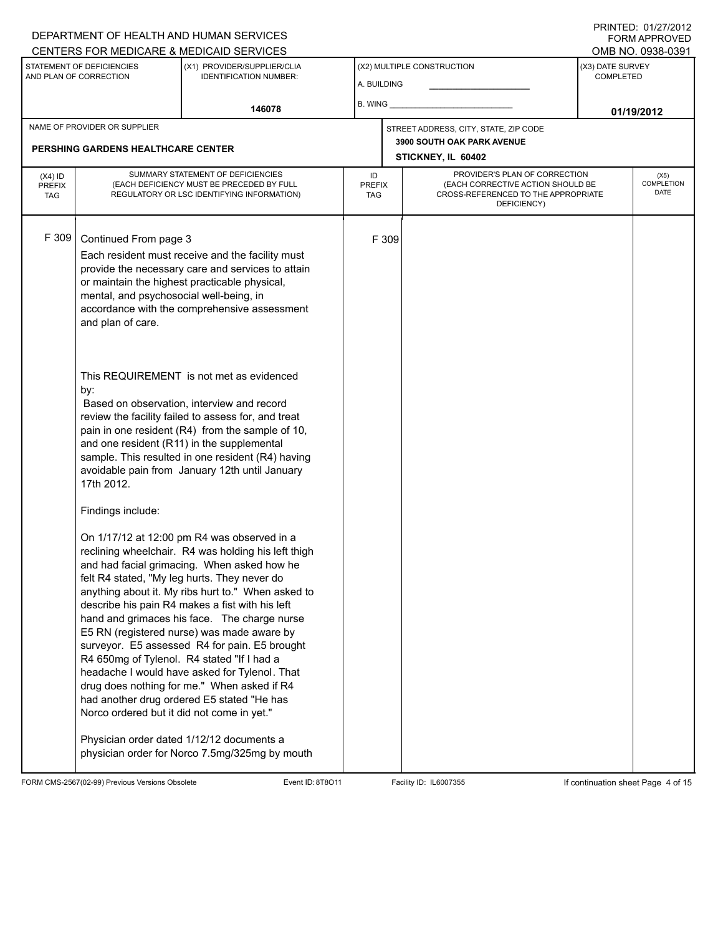# A. BUILDING (X1) PROVIDER/SUPPLIER/CLIA IDENTIFICATION NUMBER: STATEMENT OF DEFICIENCIES AND PLAN OF CORRECTION (X3) DATE SURVEY COMPLETED FORM APPROVED (X2) MULTIPLE CONSTRUCTION B. WING CENTERS FOR MEDICARE & MEDICAID SERVICES **And CENTERS FOR MEDICAL ACCESS** OMB NO. 0938-0391 **146078 01/19/2012 STICKNEY, IL 60402** NAME OF PROVIDER OR SUPPLIER STREET ADDRESS, CITY, STATE, ZIP CODE **PERSHING GARDENS HEALTHCARE CENTER 3900 SOUTH OAK PARK AVENUE** PROVIDER'S PLAN OF CORRECTION (EACH CORRECTIVE ACTION SHOULD BE CROSS-REFERENCED TO THE APPROPRIATE DEFICIENCY) (X5) **COMPLETION** DATE ID PREFIX TAG (X4) ID PREFIX TAG SUMMARY STATEMENT OF DEFICIENCIES (EACH DEFICIENCY MUST BE PRECEDED BY FULL REGULATORY OR LSC IDENTIFYING INFORMATION) F 309 Continued From page 3 F 309 Each resident must receive and the facility must provide the necessary care and services to attain or maintain the highest practicable physical, mental, and psychosocial well-being, in accordance with the comprehensive assessment and plan of care. This REQUIREMENT is not met as evidenced by: Based on observation, interview and record review the facility failed to assess for, and treat pain in one resident (R4) from the sample of 10, and one resident (R11) in the supplemental sample. This resulted in one resident (R4) having avoidable pain from January 12th until January 17th 2012. Findings include: On 1/17/12 at 12:00 pm R4 was observed in a reclining wheelchair. R4 was holding his left thigh and had facial grimacing. When asked how he felt R4 stated, "My leg hurts. They never do anything about it. My ribs hurt to." When asked to describe his pain R4 makes a fist with his left hand and grimaces his face. The charge nurse E5 RN (registered nurse) was made aware by surveyor. E5 assessed R4 for pain. E5 brought R4 650mg of Tylenol. R4 stated "If I had a headache I would have asked for Tylenol. That drug does nothing for me." When asked if R4 had another drug ordered E5 stated "He has Norco ordered but it did not come in yet." Physician order dated 1/12/12 documents a physician order for Norco 7.5mg/325mg by mouth

FORM CMS-2567(02-99) Previous Versions Obsolete Event ID: 8T8O11 Facility ID: IL6007355 If continuation sheet Page 4 of 15

DEPARTMENT OF HEALTH AND HUMAN SERVICES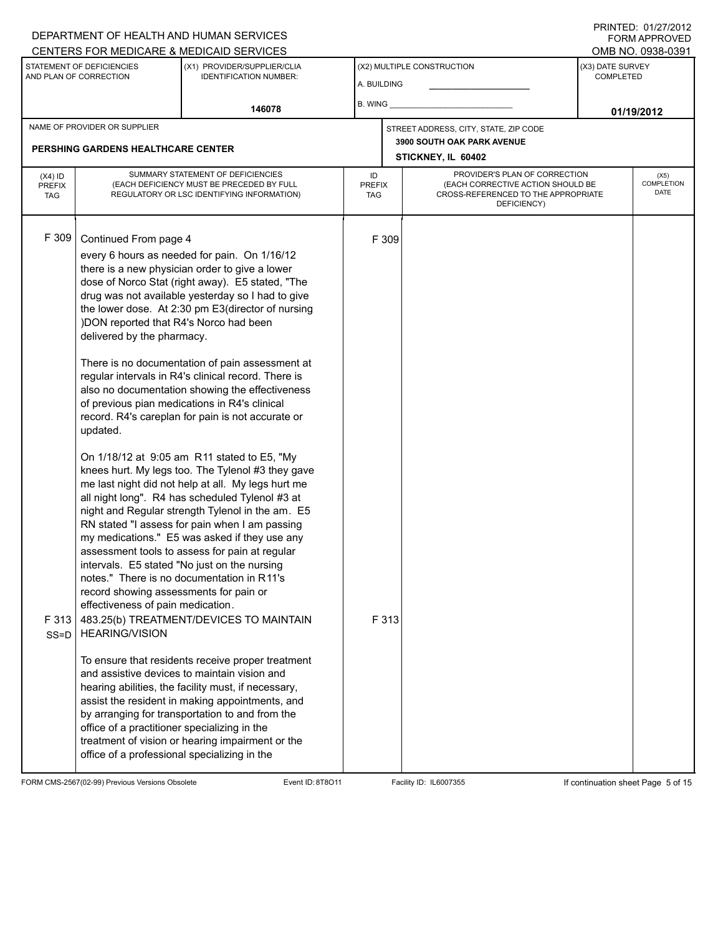#### A. BUILDING (X1) PROVIDER/SUPPLIER/CLIA IDENTIFICATION NUMBER: STATEMENT OF DEFICIENCIES AND PLAN OF CORRECTION (X3) DATE SURVEY COMPLETED (X2) MULTIPLE CONSTRUCTION B. WING CENTERS FOR MEDICARE & MEDICAID SERVICES **And CENTERS FOR MEDICAL ACCESS** OMB NO. 0938-0391 **146078 01/19/2012 STICKNEY, IL 60402** NAME OF PROVIDER OR SUPPLIER STREET ADDRESS, CITY, STATE, ZIP CODE **PERSHING GARDENS HEALTHCARE CENTER 3900 SOUTH OAK PARK AVENUE** PROVIDER'S PLAN OF CORRECTION (EACH CORRECTIVE ACTION SHOULD BE CROSS-REFERENCED TO THE APPROPRIATE DEFICIENCY) (X5) **COMPLETION** DATE ID PREFIX TAG  $(X4)$  ID PREFIX TAG SUMMARY STATEMENT OF DEFICIENCIES (EACH DEFICIENCY MUST BE PRECEDED BY FULL REGULATORY OR LSC IDENTIFYING INFORMATION) F 309 Continued From page 4 F 309 every 6 hours as needed for pain. On 1/16/12 there is a new physician order to give a lower dose of Norco Stat (right away). E5 stated, "The drug was not available yesterday so I had to give the lower dose. At 2:30 pm E3(director of nursing )DON reported that R4's Norco had been delivered by the pharmacy. There is no documentation of pain assessment at regular intervals in R4's clinical record. There is also no documentation showing the effectiveness of previous pian medications in R4's clinical record. R4's careplan for pain is not accurate or updated. On 1/18/12 at 9:05 am R11 stated to E5, "My knees hurt. My legs too. The Tylenol #3 they gave me last night did not help at all. My legs hurt me all night long". R4 has scheduled Tylenol #3 at night and Regular strength Tylenol in the am. E5 RN stated "I assess for pain when I am passing my medications." E5 was asked if they use any assessment tools to assess for pain at regular intervals. E5 stated "No just on the nursing notes." There is no documentation in R11's record showing assessments for pain or effectiveness of pain medication. F 313 483.25(b) TREATMENT/DEVICES TO MAINTAIN SS=D HEARING/VISION To ensure that residents receive proper treatment and assistive devices to maintain vision and hearing abilities, the facility must, if necessary, assist the resident in making appointments, and by arranging for transportation to and from the office of a practitioner specializing in the treatment of vision or hearing impairment or the office of a professional specializing in the F 313

FORM CMS-2567(02-99) Previous Versions Obsolete Event ID: 8T8O11 Facility ID: IL6007355 If continuation sheet Page 5 of 15

DEPARTMENT OF HEALTH AND HUMAN SERVICES

PRINTED: 01/27/2012 FORM APPROVED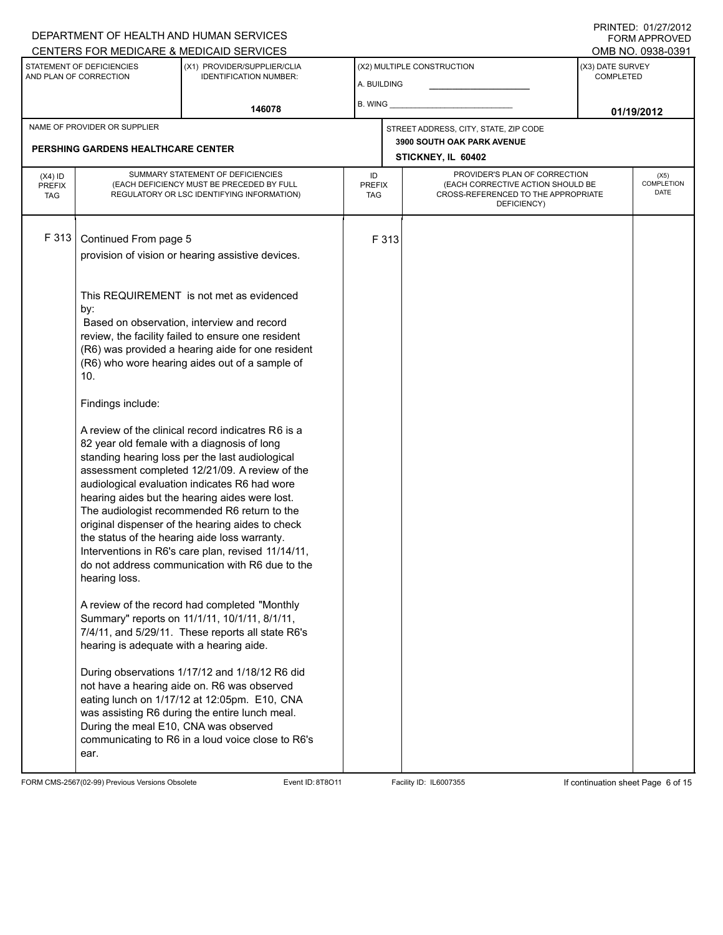# A. BUILDING (X1) PROVIDER/SUPPLIER/CLIA IDENTIFICATION NUMBER: STATEMENT OF DEFICIENCIES AND PLAN OF CORRECTION (X3) DATE SURVEY COMPLETED FORM APPROVED (X2) MULTIPLE CONSTRUCTION B. WING CENTERS FOR MEDICARE & MEDICAID SERVICES OMB NO. 0938-0391 **146078 01/19/2012 STICKNEY, IL 60402** NAME OF PROVIDER OR SUPPLIER STREET ADDRESS, CITY, STATE, ZIP CODE **PERSHING GARDENS HEALTHCARE CENTER 3900 SOUTH OAK PARK AVENUE** PROVIDER'S PLAN OF CORRECTION (EACH CORRECTIVE ACTION SHOULD BE CROSS-REFERENCED TO THE APPROPRIATE DEFICIENCY) (X5) **COMPLETION** DATE ID PREFIX TAG  $(X4)$  ID PREFIX TAG SUMMARY STATEMENT OF DEFICIENCIES (EACH DEFICIENCY MUST BE PRECEDED BY FULL REGULATORY OR LSC IDENTIFYING INFORMATION) F 313 Continued From page 5 F 313 provision of vision or hearing assistive devices. This REQUIREMENT is not met as evidenced by: Based on observation, interview and record review, the facility failed to ensure one resident (R6) was provided a hearing aide for one resident (R6) who wore hearing aides out of a sample of 10. Findings include: A review of the clinical record indicatres R6 is a 82 year old female with a diagnosis of long standing hearing loss per the last audiological assessment completed 12/21/09. A review of the audiological evaluation indicates R6 had wore hearing aides but the hearing aides were lost. The audiologist recommended R6 return to the original dispenser of the hearing aides to check the status of the hearing aide loss warranty. Interventions in R6's care plan, revised 11/14/11, do not address communication with R6 due to the hearing loss. A review of the record had completed "Monthly Summary" reports on 11/1/11, 10/1/11, 8/1/11, 7/4/11, and 5/29/11. These reports all state R6's hearing is adequate with a hearing aide. During observations 1/17/12 and 1/18/12 R6 did not have a hearing aide on. R6 was observed eating lunch on 1/17/12 at 12:05pm. E10, CNA was assisting R6 during the entire lunch meal. During the meal E10, CNA was observed communicating to R6 in a loud voice close to R6's ear.

FORM CMS-2567(02-99) Previous Versions Obsolete Event ID: 8T8O11 Facility ID: IL6007355 If continuation sheet Page 6 of 15

DEPARTMENT OF HEALTH AND HUMAN SERVICES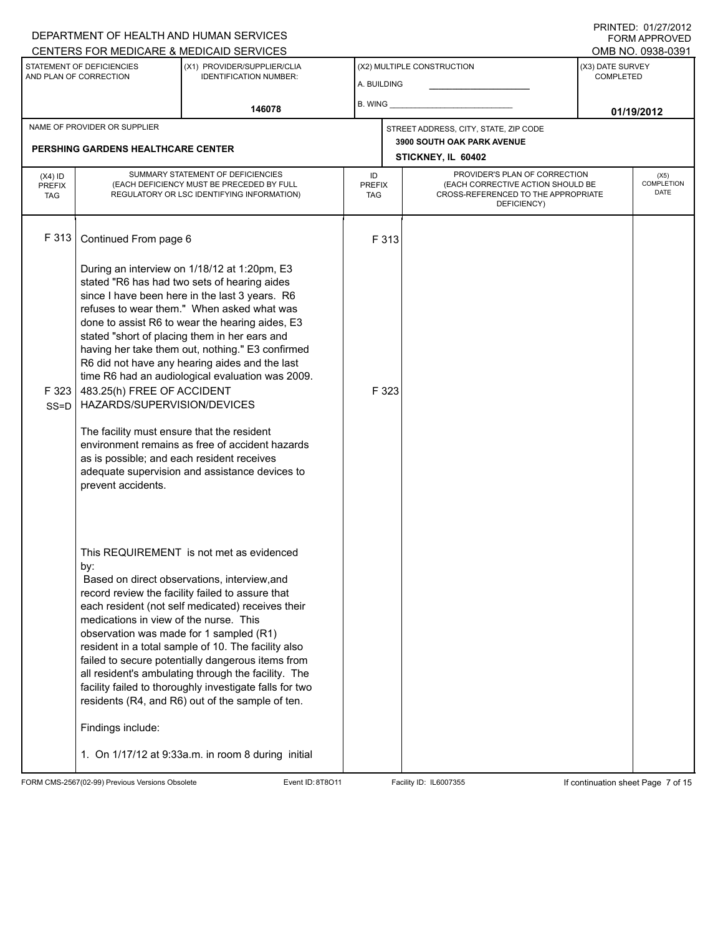# A. BUILDING (X1) PROVIDER/SUPPLIER/CLIA IDENTIFICATION NUMBER: STATEMENT OF DEFICIENCIES AND PLAN OF CORRECTION (X3) DATE SURVEY COMPLETED FORM APPROVED (X2) MULTIPLE CONSTRUCTION B. WING CENTERS FOR MEDICARE & MEDICAID SERVICES OMB NO. 0938-0391 **146078 01/19/2012 STICKNEY, IL 60402** NAME OF PROVIDER OR SUPPLIER STREET ADDRESS, CITY, STATE, ZIP CODE **PERSHING GARDENS HEALTHCARE CENTER 3900 SOUTH OAK PARK AVENUE** PROVIDER'S PLAN OF CORRECTION (EACH CORRECTIVE ACTION SHOULD BE CROSS-REFERENCED TO THE APPROPRIATE DEFICIENCY) (X5) **COMPLETION** DATE ID PREFIX TAG (X4) ID PREFIX TAG SUMMARY STATEMENT OF DEFICIENCIES (EACH DEFICIENCY MUST BE PRECEDED BY FULL REGULATORY OR LSC IDENTIFYING INFORMATION) F 313 Continued From page 6 F 313 During an interview on 1/18/12 at 1:20pm, E3 stated "R6 has had two sets of hearing aides since I have been here in the last 3 years. R6 refuses to wear them." When asked what was done to assist R6 to wear the hearing aides, E3 stated "short of placing them in her ears and having her take them out, nothing." E3 confirmed R6 did not have any hearing aides and the last time R6 had an audiological evaluation was 2009. F 323 SS=D 483.25(h) FREE OF ACCIDENT HAZARDS/SUPERVISION/DEVICES The facility must ensure that the resident environment remains as free of accident hazards as is possible; and each resident receives adequate supervision and assistance devices to prevent accidents. This REQUIREMENT is not met as evidenced by: F 323 Based on direct observations, interview,and record review the facility failed to assure that each resident (not self medicated) receives their medications in view of the nurse. This observation was made for 1 sampled (R1) resident in a total sample of 10. The facility also failed to secure potentially dangerous items from all resident's ambulating through the facility. The facility failed to thoroughly investigate falls for two residents (R4, and R6) out of the sample of ten. Findings include: 1. On 1/17/12 at 9:33a.m. in room 8 during initial

FORM CMS-2567(02-99) Previous Versions Obsolete Event ID: 8T8O11 Facility ID: IL6007355 If continuation sheet Page 7 of 15

DEPARTMENT OF HEALTH AND HUMAN SERVICES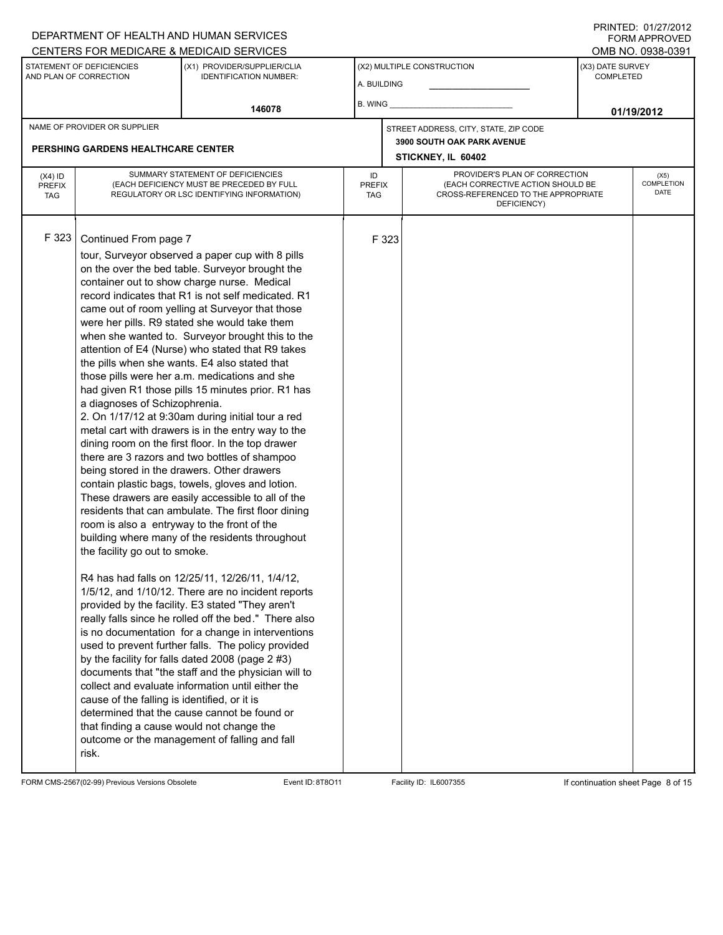#### A. BUILDING (X1) PROVIDER/SUPPLIER/CLIA IDENTIFICATION NUMBER: STATEMENT OF DEFICIENCIES AND PLAN OF CORRECTION (X3) DATE SURVEY COMPLETED FORM APPROVED (X2) MULTIPLE CONSTRUCTION B. WING CENTERS FOR MEDICARE & MEDICAID SERVICES **And CENTERS FOR MEDICAL ACCESS** OMB NO. 0938-0391 **146078 01/19/2012 STICKNEY, IL 60402** NAME OF PROVIDER OR SUPPLIER STREET ADDRESS, CITY, STATE, ZIP CODE **PERSHING GARDENS HEALTHCARE CENTER 3900 SOUTH OAK PARK AVENUE** PROVIDER'S PLAN OF CORRECTION (EACH CORRECTIVE ACTION SHOULD BE CROSS-REFERENCED TO THE APPROPRIATE DEFICIENCY) (X5) **COMPLETION** DATE ID PREFIX TAG (X4) ID PREFIX TAG SUMMARY STATEMENT OF DEFICIENCIES (EACH DEFICIENCY MUST BE PRECEDED BY FULL REGULATORY OR LSC IDENTIFYING INFORMATION) F 323 Continued From page 7 F 323 tour, Surveyor observed a paper cup with 8 pills on the over the bed table. Surveyor brought the container out to show charge nurse. Medical record indicates that R1 is not self medicated. R1 came out of room yelling at Surveyor that those were her pills. R9 stated she would take them when she wanted to. Surveyor brought this to the attention of E4 (Nurse) who stated that R9 takes the pills when she wants. E4 also stated that those pills were her a.m. medications and she had given R1 those pills 15 minutes prior. R1 has a diagnoses of Schizophrenia. 2. On 1/17/12 at 9:30am during initial tour a red metal cart with drawers is in the entry way to the dining room on the first floor. In the top drawer there are 3 razors and two bottles of shampoo being stored in the drawers. Other drawers contain plastic bags, towels, gloves and lotion. These drawers are easily accessible to all of the residents that can ambulate. The first floor dining room is also a entryway to the front of the building where many of the residents throughout the facility go out to smoke. R4 has had falls on 12/25/11, 12/26/11, 1/4/12, 1/5/12, and 1/10/12. There are no incident reports provided by the facility. E3 stated "They aren't really falls since he rolled off the bed." There also is no documentation for a change in interventions used to prevent further falls. The policy provided by the facility for falls dated 2008 (page 2 #3) documents that "the staff and the physician will to collect and evaluate information until either the cause of the falling is identified, or it is determined that the cause cannot be found or that finding a cause would not change the outcome or the management of falling and fall risk.

FORM CMS-2567(02-99) Previous Versions Obsolete Event ID: 8T8O11 Facility ID: IL6007355 If continuation sheet Page 8 of 15

DEPARTMENT OF HEALTH AND HUMAN SERVICES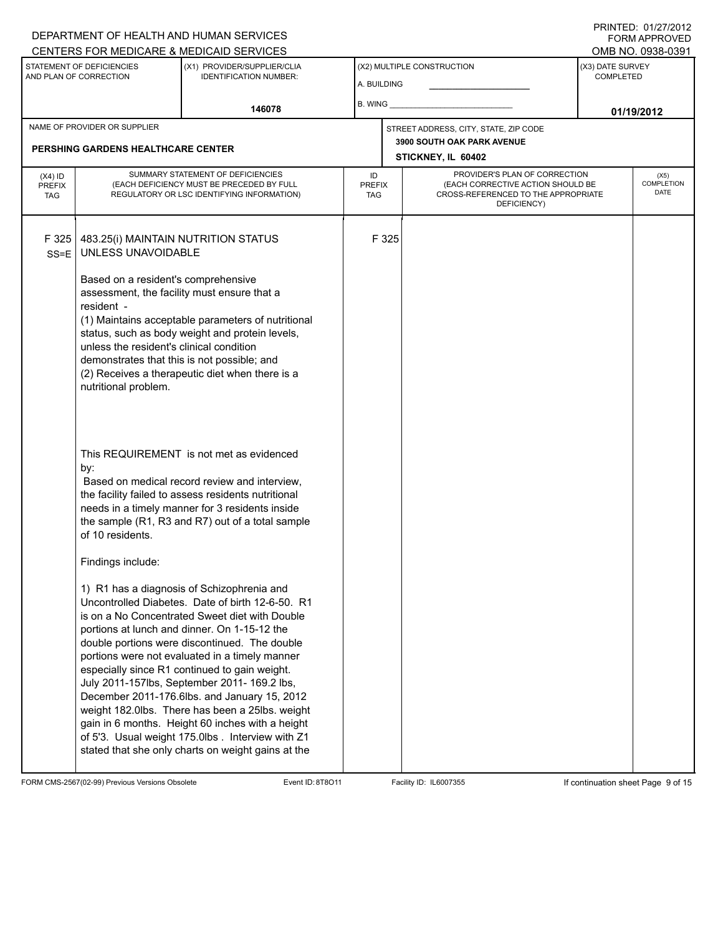# A. BUILDING (X1) PROVIDER/SUPPLIER/CLIA IDENTIFICATION NUMBER: STATEMENT OF DEFICIENCIES AND PLAN OF CORRECTION (X3) DATE SURVEY COMPLETED FORM APPROVED (X2) MULTIPLE CONSTRUCTION B. WING CENTERS FOR MEDICARE & MEDICAID SERVICES OMB NO. 0938-0391 **146078 01/19/2012 STICKNEY, IL 60402** NAME OF PROVIDER OR SUPPLIER STREET ADDRESS, CITY, STATE, ZIP CODE **PERSHING GARDENS HEALTHCARE CENTER 3900 SOUTH OAK PARK AVENUE** PROVIDER'S PLAN OF CORRECTION (EACH CORRECTIVE ACTION SHOULD BE CROSS-REFERENCED TO THE APPROPRIATE DEFICIENCY) (X5) **COMPLETION** DATE ID PREFIX TAG (X4) ID PREFIX TAG SUMMARY STATEMENT OF DEFICIENCIES (EACH DEFICIENCY MUST BE PRECEDED BY FULL REGULATORY OR LSC IDENTIFYING INFORMATION) F 325 SS=E 483.25(i) MAINTAIN NUTRITION STATUS UNLESS UNAVOIDABLE Based on a resident's comprehensive assessment, the facility must ensure that a resident - (1) Maintains acceptable parameters of nutritional status, such as body weight and protein levels, unless the resident's clinical condition demonstrates that this is not possible; and (2) Receives a therapeutic diet when there is a nutritional problem. This REQUIREMENT is not met as evidenced by: F 325 Based on medical record review and interview, the facility failed to assess residents nutritional needs in a timely manner for 3 residents inside the sample (R1, R3 and R7) out of a total sample of 10 residents. Findings include: 1) R1 has a diagnosis of Schizophrenia and Uncontrolled Diabetes. Date of birth 12-6-50. R1 is on a No Concentrated Sweet diet with Double portions at lunch and dinner. On 1-15-12 the double portions were discontinued. The double portions were not evaluated in a timely manner especially since R1 continued to gain weight. July 2011-157lbs, September 2011- 169.2 lbs, December 2011-176.6lbs. and January 15, 2012 weight 182.0lbs. There has been a 25lbs. weight gain in 6 months. Height 60 inches with a height of 5'3. Usual weight 175.0lbs . Interview with Z1 stated that she only charts on weight gains at the

FORM CMS-2567(02-99) Previous Versions Obsolete Event ID: 8T8O11 Facility ID: IL6007355 If continuation sheet Page 9 of 15

DEPARTMENT OF HEALTH AND HUMAN SERVICES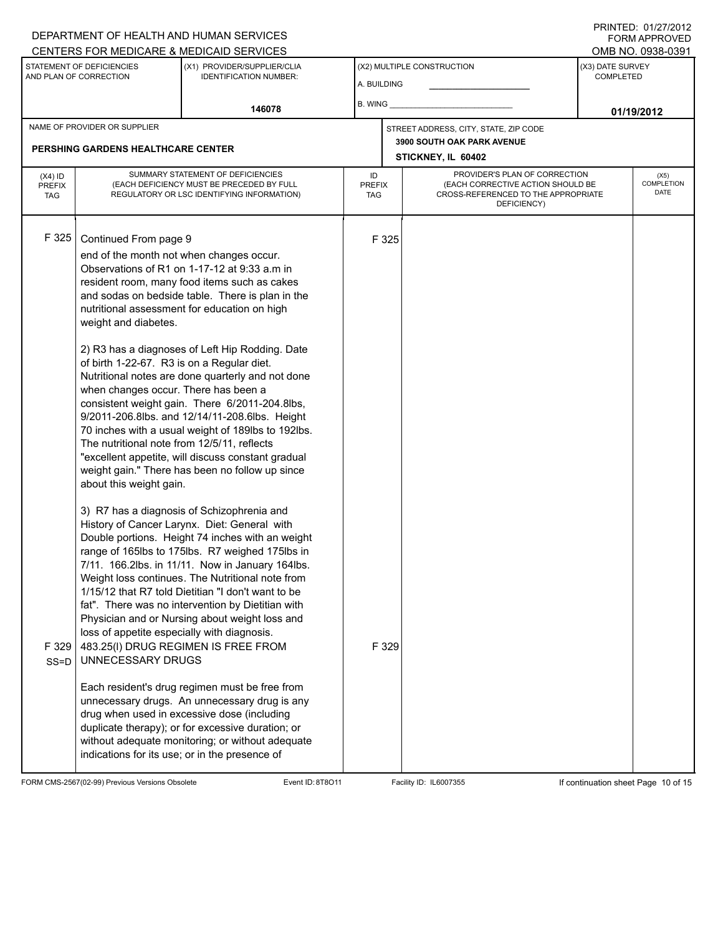#### A. BUILDING (X1) PROVIDER/SUPPLIER/CLIA IDENTIFICATION NUMBER: STATEMENT OF DEFICIENCIES AND PLAN OF CORRECTION (X3) DATE SURVEY COMPLETED FORM APPROVED (X2) MULTIPLE CONSTRUCTION B. WING DEPARTMENT OF HEALTH AND HUMAN SERVICES CENTERS FOR MEDICARE & MEDICAID SERVICES **And CENTERS FOR MEDICAL ACCESS** OMB NO. 0938-0391 **146078 01/19/2012 STICKNEY, IL 60402** NAME OF PROVIDER OR SUPPLIER STREET ADDRESS, CITY, STATE, ZIP CODE **PERSHING GARDENS HEALTHCARE CENTER 3900 SOUTH OAK PARK AVENUE** PROVIDER'S PLAN OF CORRECTION (EACH CORRECTIVE ACTION SHOULD BE CROSS-REFERENCED TO THE APPROPRIATE DEFICIENCY) (X5) **COMPLETION** DATE ID PREFIX TAG  $(X4)$  ID PREFIX TAG SUMMARY STATEMENT OF DEFICIENCIES (EACH DEFICIENCY MUST BE PRECEDED BY FULL REGULATORY OR LSC IDENTIFYING INFORMATION) F 325 Continued From page 9 F 325 end of the month not when changes occur. Observations of R1 on 1-17-12 at 9:33 a.m in resident room, many food items such as cakes and sodas on bedside table. There is plan in the nutritional assessment for education on high weight and diabetes. 2) R3 has a diagnoses of Left Hip Rodding. Date of birth 1-22-67. R3 is on a Regular diet. Nutritional notes are done quarterly and not done when changes occur. There has been a consistent weight gain. There 6/2011-204.8lbs, 9/2011-206.8lbs. and 12/14/11-208.6lbs. Height 70 inches with a usual weight of 189lbs to 192lbs. The nutritional note from 12/5/11, reflects "excellent appetite, will discuss constant gradual weight gain." There has been no follow up since about this weight gain. 3) R7 has a diagnosis of Schizophrenia and History of Cancer Larynx. Diet: General with Double portions. Height 74 inches with an weight range of 165lbs to 175lbs. R7 weighed 175lbs in 7/11. 166.2lbs. in 11/11. Now in January 164lbs. Weight loss continues. The Nutritional note from 1/15/12 that R7 told Dietitian "I don't want to be fat". There was no intervention by Dietitian with Physician and or Nursing about weight loss and loss of appetite especially with diagnosis. F 329 SS=D 483.25(l) DRUG REGIMEN IS FREE FROM UNNECESSARY DRUGS Each resident's drug regimen must be free from unnecessary drugs. An unnecessary drug is any drug when used in excessive dose (including duplicate therapy); or for excessive duration; or without adequate monitoring; or without adequate indications for its use; or in the presence of F 329

FORM CMS-2567(02-99) Previous Versions Obsolete Event ID: 8T8O11 Facility ID: IL6007355 If continuation sheet Page 10 of 15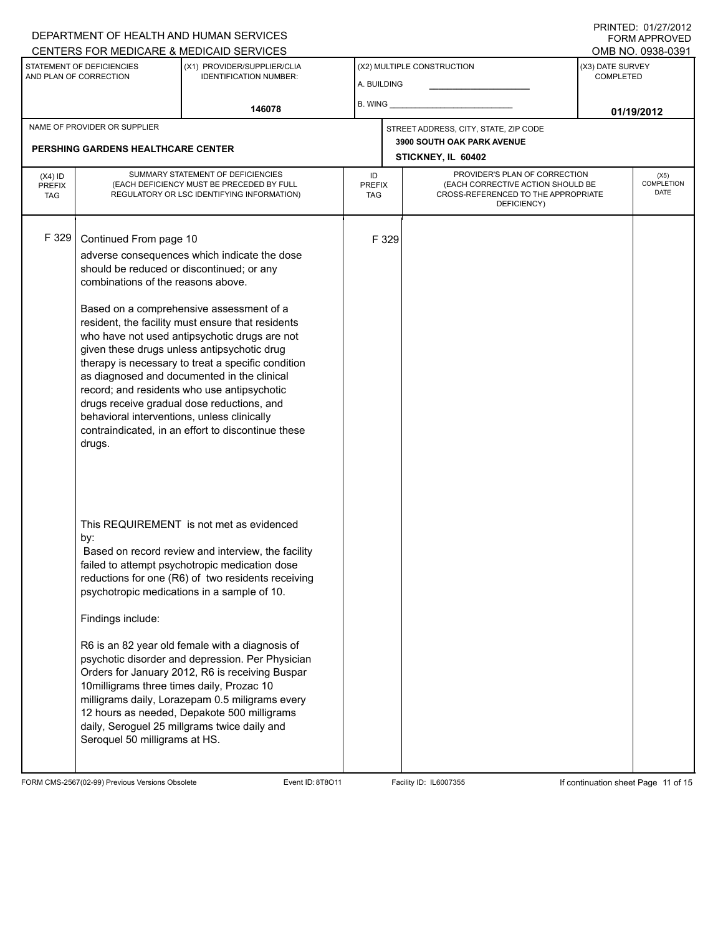# A. BUILDING (X1) PROVIDER/SUPPLIER/CLIA IDENTIFICATION NUMBER: STATEMENT OF DEFICIENCIES AND PLAN OF CORRECTION (X3) DATE SURVEY COMPLETED FORM APPROVED (X2) MULTIPLE CONSTRUCTION B. WING CENTERS FOR MEDICARE & MEDICAID SERVICES OMB NO. 0938-0391 **146078 01/19/2012 STICKNEY, IL 60402** NAME OF PROVIDER OR SUPPLIER STREET ADDRESS, CITY, STATE, ZIP CODE **PERSHING GARDENS HEALTHCARE CENTER 3900 SOUTH OAK PARK AVENUE** PROVIDER'S PLAN OF CORRECTION (EACH CORRECTIVE ACTION SHOULD BE CROSS-REFERENCED TO THE APPROPRIATE DEFICIENCY) (X5) **COMPLETION** DATE ID PREFIX TAG  $(X4)$  ID PREFIX TAG SUMMARY STATEMENT OF DEFICIENCIES (EACH DEFICIENCY MUST BE PRECEDED BY FULL REGULATORY OR LSC IDENTIFYING INFORMATION) F 329 Continued From page 10 F 329 adverse consequences which indicate the dose should be reduced or discontinued; or any combinations of the reasons above. Based on a comprehensive assessment of a resident, the facility must ensure that residents who have not used antipsychotic drugs are not given these drugs unless antipsychotic drug therapy is necessary to treat a specific condition as diagnosed and documented in the clinical record; and residents who use antipsychotic drugs receive gradual dose reductions, and behavioral interventions, unless clinically contraindicated, in an effort to discontinue these drugs. This REQUIREMENT is not met as evidenced by: Based on record review and interview, the facility failed to attempt psychotropic medication dose reductions for one (R6) of two residents receiving psychotropic medications in a sample of 10. Findings include: R6 is an 82 year old female with a diagnosis of psychotic disorder and depression. Per Physician Orders for January 2012, R6 is receiving Buspar 10milligrams three times daily, Prozac 10 milligrams daily, Lorazepam 0.5 miligrams every 12 hours as needed, Depakote 500 milligrams daily, Seroguel 25 millgrams twice daily and Seroquel 50 milligrams at HS.

FORM CMS-2567(02-99) Previous Versions Obsolete Event ID: 8T8O11 Facility ID: IL6007355 If continuation sheet Page 11 of 15

DEPARTMENT OF HEALTH AND HUMAN SERVICES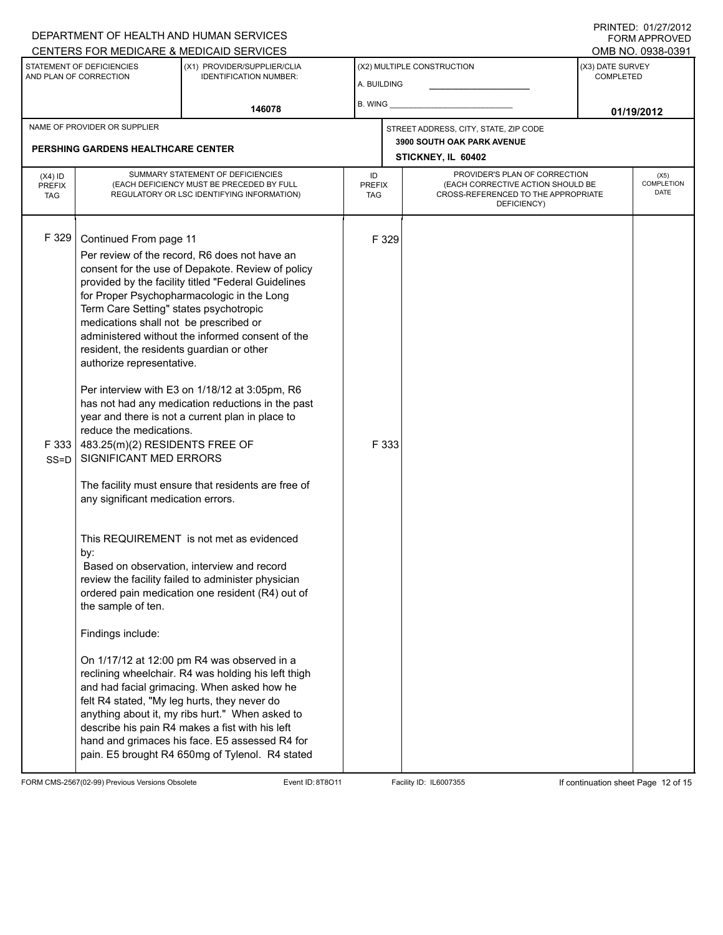## A. BUILDING (X1) PROVIDER/SUPPLIER/CLIA IDENTIFICATION NUMBER: STATEMENT OF DEFICIENCIES AND PLAN OF CORRECTION (X3) DATE SURVEY COMPLETED FORM APPROVED (X2) MULTIPLE CONSTRUCTION B. WING CENTERS FOR MEDICARE & MEDICAID SERVICES **And CENTERS FOR MEDICAL ACCESS** OMB NO. 0938-0391 **146078 01/19/2012 STICKNEY, IL 60402** NAME OF PROVIDER OR SUPPLIER STREET ADDRESS, CITY, STATE, ZIP CODE **PERSHING GARDENS HEALTHCARE CENTER 3900 SOUTH OAK PARK AVENUE** PROVIDER'S PLAN OF CORRECTION (EACH CORRECTIVE ACTION SHOULD BE CROSS-REFERENCED TO THE APPROPRIATE DEFICIENCY) (X5) **COMPLETION** DATE ID PREFIX TAG (X4) ID PREFIX TAG SUMMARY STATEMENT OF DEFICIENCIES (EACH DEFICIENCY MUST BE PRECEDED BY FULL REGULATORY OR LSC IDENTIFYING INFORMATION) F 329 Continued From page 11 F 329 Per review of the record, R6 does not have an consent for the use of Depakote. Review of policy provided by the facility titled "Federal Guidelines for Proper Psychopharmacologic in the Long Term Care Setting" states psychotropic medications shall not be prescribed or administered without the informed consent of the resident, the residents guardian or other authorize representative. Per interview with E3 on 1/18/12 at 3:05pm, R6 has not had any medication reductions in the past year and there is not a current plan in place to reduce the medications. F 333 SS=D 483.25(m)(2) RESIDENTS FREE OF SIGNIFICANT MED ERRORS The facility must ensure that residents are free of any significant medication errors. This REQUIREMENT is not met as evidenced by: F 333 Based on observation, interview and record review the facility failed to administer physician ordered pain medication one resident (R4) out of the sample of ten. Findings include: On 1/17/12 at 12:00 pm R4 was observed in a reclining wheelchair. R4 was holding his left thigh and had facial grimacing. When asked how he felt R4 stated, "My leg hurts, they never do anything about it, my ribs hurt." When asked to describe his pain R4 makes a fist with his left hand and grimaces his face. E5 assessed R4 for pain. E5 brought R4 650mg of Tylenol. R4 stated

FORM CMS-2567(02-99) Previous Versions Obsolete Event ID: 8T8O11 Facility ID: IL6007355 If continuation sheet Page 12 of 15

DEPARTMENT OF HEALTH AND HUMAN SERVICES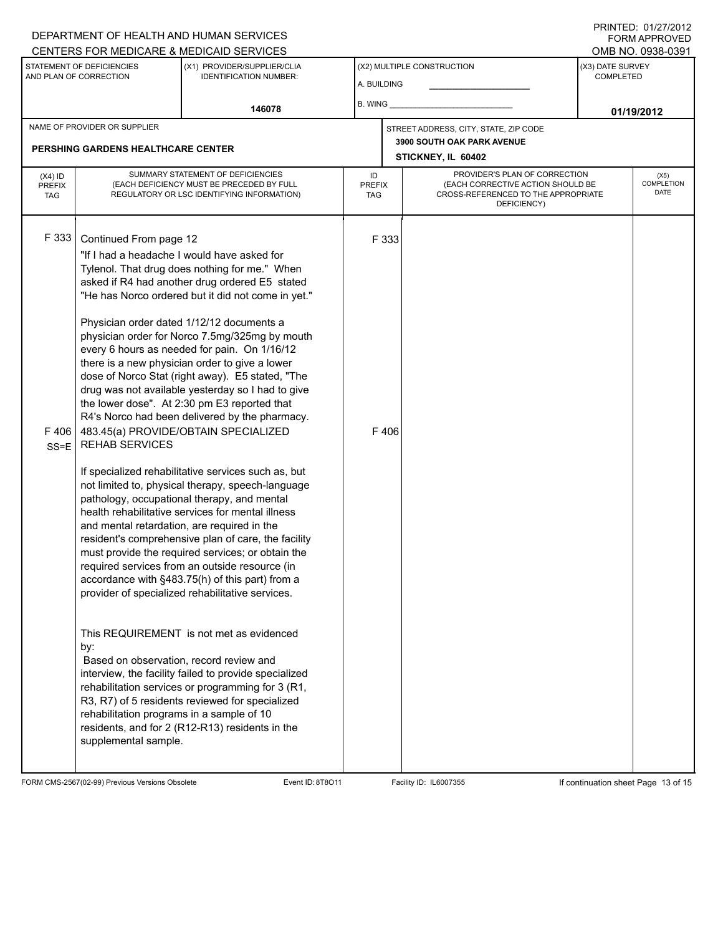# A. BUILDING (X1) PROVIDER/SUPPLIER/CLIA IDENTIFICATION NUMBER: STATEMENT OF DEFICIENCIES AND PLAN OF CORRECTION (X3) DATE SURVEY COMPLETED FORM APPROVED (X2) MULTIPLE CONSTRUCTION B. WING CENTERS FOR MEDICARE & MEDICAID SERVICES **And CENTERS FOR MEDICAL ACCESS** OMB NO. 0938-0391 **146078 01/19/2012 STICKNEY, IL 60402** NAME OF PROVIDER OR SUPPLIER STREET ADDRESS, CITY, STATE, ZIP CODE **PERSHING GARDENS HEALTHCARE CENTER 3900 SOUTH OAK PARK AVENUE** PROVIDER'S PLAN OF CORRECTION (EACH CORRECTIVE ACTION SHOULD BE CROSS-REFERENCED TO THE APPROPRIATE DEFICIENCY) (X5) **COMPLETION** DATE ID PREFIX TAG (X4) ID PREFIX TAG SUMMARY STATEMENT OF DEFICIENCIES (EACH DEFICIENCY MUST BE PRECEDED BY FULL REGULATORY OR LSC IDENTIFYING INFORMATION) F 333 Continued From page 12 F 333 "If I had a headache I would have asked for Tylenol. That drug does nothing for me." When asked if R4 had another drug ordered E5 stated "He has Norco ordered but it did not come in yet." Physician order dated 1/12/12 documents a physician order for Norco 7.5mg/325mg by mouth every 6 hours as needed for pain. On 1/16/12 there is a new physician order to give a lower dose of Norco Stat (right away). E5 stated, "The drug was not available yesterday so I had to give the lower dose". At 2:30 pm E3 reported that R4's Norco had been delivered by the pharmacy. F 406 483.45(a) PROVIDE/OBTAIN SPECIALIZED SS=E REHAB SERVICES If specialized rehabilitative services such as, but not limited to, physical therapy, speech-language pathology, occupational therapy, and mental health rehabilitative services for mental illness and mental retardation, are required in the resident's comprehensive plan of care, the facility must provide the required services; or obtain the required services from an outside resource (in accordance with §483.75(h) of this part) from a provider of specialized rehabilitative services. This REQUIREMENT is not met as evidenced by: F 406 Based on observation, record review and interview, the facility failed to provide specialized rehabilitation services or programming for 3 (R1, R3, R7) of 5 residents reviewed for specialized rehabilitation programs in a sample of 10 residents, and for 2 (R12-R13) residents in the supplemental sample.

FORM CMS-2567(02-99) Previous Versions Obsolete Event ID: 8T8O11 Facility ID: IL6007355 If continuation sheet Page 13 of 15

DEPARTMENT OF HEALTH AND HUMAN SERVICES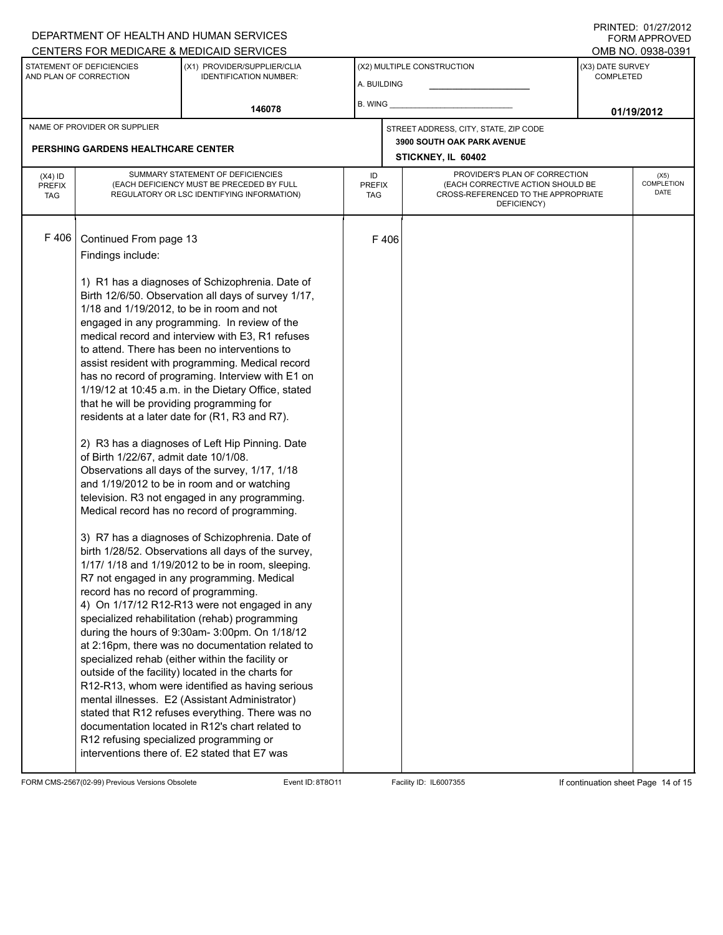## A. BUILDING (X1) PROVIDER/SUPPLIER/CLIA IDENTIFICATION NUMBER: STATEMENT OF DEFICIENCIES AND PLAN OF CORRECTION (X3) DATE SURVEY COMPLETED FORM APPROVED (X2) MULTIPLE CONSTRUCTION B. WING CENTERS FOR MEDICARE & MEDICAID SERVICES **And CENTERS FOR MEDICAL ACCESS** OMB NO. 0938-0391 **146078 01/19/2012 STICKNEY, IL 60402** NAME OF PROVIDER OR SUPPLIER STREET ADDRESS, CITY, STATE, ZIP CODE **PERSHING GARDENS HEALTHCARE CENTER 3900 SOUTH OAK PARK AVENUE** PROVIDER'S PLAN OF CORRECTION (EACH CORRECTIVE ACTION SHOULD BE CROSS-REFERENCED TO THE APPROPRIATE DEFICIENCY) (X5) **COMPLETION** DATE ID PREFIX TAG (X4) ID PREFIX TAG SUMMARY STATEMENT OF DEFICIENCIES (EACH DEFICIENCY MUST BE PRECEDED BY FULL REGULATORY OR LSC IDENTIFYING INFORMATION) F 406 Continued From page 13 F 406 Findings include: 1) R1 has a diagnoses of Schizophrenia. Date of Birth 12/6/50. Observation all days of survey 1/17, 1/18 and 1/19/2012, to be in room and not engaged in any programming. In review of the medical record and interview with E3, R1 refuses to attend. There has been no interventions to assist resident with programming. Medical record has no record of programing. Interview with E1 on 1/19/12 at 10:45 a.m. in the Dietary Office, stated that he will be providing programming for residents at a later date for (R1, R3 and R7). 2) R3 has a diagnoses of Left Hip Pinning. Date of Birth 1/22/67, admit date 10/1/08. Observations all days of the survey, 1/17, 1/18 and 1/19/2012 to be in room and or watching television. R3 not engaged in any programming. Medical record has no record of programming. 3) R7 has a diagnoses of Schizophrenia. Date of birth 1/28/52. Observations all days of the survey, 1/17/ 1/18 and 1/19/2012 to be in room, sleeping. R7 not engaged in any programming. Medical record has no record of programming. 4) On 1/17/12 R12-R13 were not engaged in any specialized rehabilitation (rehab) programming during the hours of 9:30am- 3:00pm. On 1/18/12 at 2:16pm, there was no documentation related to specialized rehab (either within the facility or outside of the facility) located in the charts for R12-R13, whom were identified as having serious mental illnesses. E2 (Assistant Administrator) stated that R12 refuses everything. There was no documentation located in R12's chart related to R12 refusing specialized programming or interventions there of. E2 stated that E7 was

FORM CMS-2567(02-99) Previous Versions Obsolete Event ID: 8T8O11 Facility ID: IL6007355 If continuation sheet Page 14 of 15

DEPARTMENT OF HEALTH AND HUMAN SERVICES